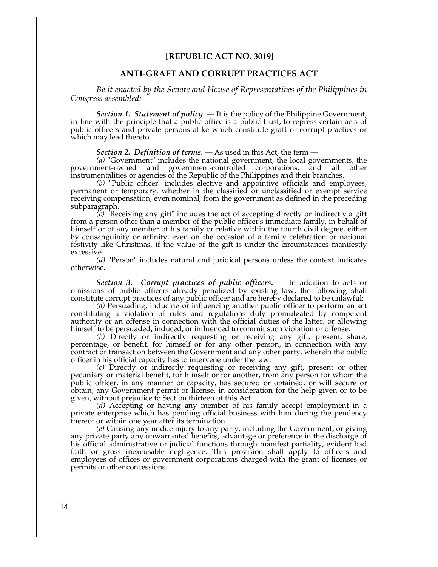## **[REPUBLIC ACT NO. 3019]**

## **ANTI-GRAFT AND CORRUPT PRACTICES ACT**

*Be it enacted by the Senate and House of Representatives of the Philippines in Congress assembled:* 

*Section 1. Statement of policy.* — It is the policy of the Philippine Government, in line with the principle that a public office is a public trust, to repress certain acts of public officers and private persons alike which constitute graft or corrupt practices or which may lead thereto.

*Section 2. Definition of terms.* — As used in this Act, the term —

(a) "Government" includes the national government, the local governments, the ment-owned and government-controlled corporations, and all other government-owned and government-controlled corporations, and all other instrumentalities or agencies of the Republic of the Philippines and their branches.

*(b)* "Public officer" includes elective and appointive officials and employees, permanent or temporary, whether in the classified or unclassified or exempt service receiving compensation, even nominal, from the government as defined in the preceding subparagraph.

*(c)* "Receiving any gift" includes the act of accepting directly or indirectly a gift from a person other than a member of the public officer's immediate family, in behalf of himself or of any member of his family or relative within the fourth civil degree, either by consanguinity or affinity, even on the occasion of a family celebration or national festivity like Christmas, if the value of the gift is under the circumstances manifestly excessive.

 *(d)* "Person" includes natural and juridical persons unless the context indicates otherwise.

 *Section 3. Corrupt practices of public officers.* — In addition to acts or omissions of public officers already penalized by existing law, the following shall constitute corrupt practices of any public officer and are hereby declared to be unlawful:

*(a)* Persuading, inducing or influencing another public officer to perform an act constituting a violation of rules and regulations duly promulgated by competent authority or an offense in connection with the official duties of the latter, or allowing himself to be persuaded, induced, or influenced to commit such violation or offense.

*(b)* Directly or indirectly requesting or receiving any gift, present, share, percentage, or benefit, for himself or for any other person, in connection with any contract or transaction between the Government and any other party, wherein the public officer in his official capacity has to intervene under the law.

*(c)* Directly or indirectly requesting or receiving any gift, present or other pecuniary or material benefit, for himself or for another, from any person for whom the public officer, in any manner or capacity, has secured or obtained, or will secure or obtain, any Government permit or license, in consideration for the help given or to be given, without prejudice to Section thirteen of this Act.

*(d)* Accepting or having any member of his family accept employment in a private enterprise which has pending official business with him during the pendency thereof or within one year after its termination.

*(e)* Causing any undue injury to any party, including the Government, or giving any private party any unwarranted benefits, advantage or preference in the discharge of his official administrative or judicial functions through manifest partiality, evident bad faith or gross inexcusable negligence. This provision shall apply to officers and employees of offices or government corporations charged with the grant of licenses or permits or other concessions.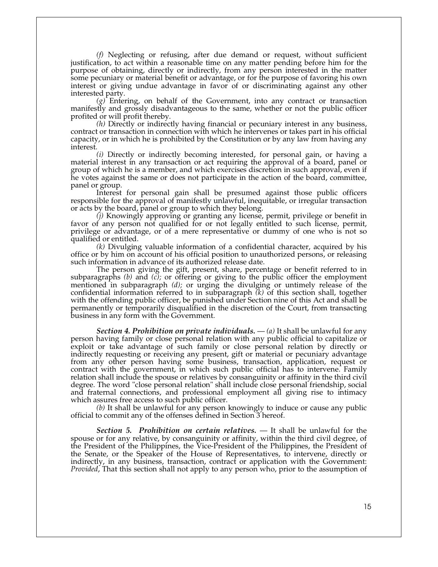*(f)* Neglecting or refusing, after due demand or request, without sufficient justification, to act within a reasonable time on any matter pending before him for the purpose of obtaining, directly or indirectly, from any person interested in the matter some pecuniary or material benefit or advantage, or for the purpose of favoring his own interest or giving undue advantage in favor of or discriminating against any other interested party.

*(g)* Entering, on behalf of the Government, into any contract or transaction manifestly and grossly disadvantageous to the same, whether or not the public officer profited or will profit thereby.

*(h)* Directly or indirectly having financial or pecuniary interest in any business, contract or transaction in connection with which he intervenes or takes part in his official capacity, or in which he is prohibited by the Constitution or by any law from having any interest.

*(i)* Directly or indirectly becoming interested, for personal gain, or having a material interest in any transaction or act requiring the approval of a board, panel or group of which he is a member, and which exercises discretion in such approval, even if he votes against the same or does not participate in the action of the board, committee, panel or group.

 Interest for personal gain shall be presumed against those public officers responsible for the approval of manifestly unlawful, inequitable, or irregular transaction or acts by the board, panel or group to which they belong.

*(j)* Knowingly approving or granting any license, permit, privilege or benefit in favor of any person not qualified for or not legally entitled to such license, permit, privilege or advantage, or of a mere representative or dummy of one who is not so qualified or entitled.

*(k)* Divulging valuable information of a confidential character, acquired by his office or by him on account of his official position to unauthorized persons, or releasing such information in advance of its authorized release date.

 The person giving the gift, present, share, percentage or benefit referred to in subparagraphs *(b)* and *(c);* or offering or giving to the public officer the employment mentioned in subparagraph *(d);* or urging the divulging or untimely release of the confidential information referred to in subparagraph *(k)* of this section shall, together with the offending public officer, be punished under Section nine of this Act and shall be permanently or temporarily disqualified in the discretion of the Court, from transacting business in any form with the Government.

 *Section 4. Prohibition on private individuals.* — *(a)* It shall be unlawful for any person having family or close personal relation with any public official to capitalize or exploit or take advantage of such family or close personal relation by directly or indirectly requesting or receiving any present, gift or material or pecuniary advantage from any other person having some business, transaction, application, request or contract with the government, in which such public official has to intervene. Family relation shall include the spouse or relatives by consanguinity or affinity in the third civil degree. The word "close personal relation" shall include close personal friendship, social and fraternal connections, and professional employment all giving rise to intimacy which assures free access to such public officer.

 *(b)* It shall be unlawful for any person knowingly to induce or cause any public official to commit any of the offenses defined in Section 3 hereof.

 *Section 5. Prohibition on certain relatives.* — It shall be unlawful for the spouse or for any relative, by consanguinity or affinity, within the third civil degree, of the President of the Philippines, the Vice-President of the Philippines, the President of the Senate, or the Speaker of the House of Representatives, to intervene, directly or indirectly, in any business, transaction, contract or application with the Government: *Provided*, That this section shall not apply to any person who, prior to the assumption of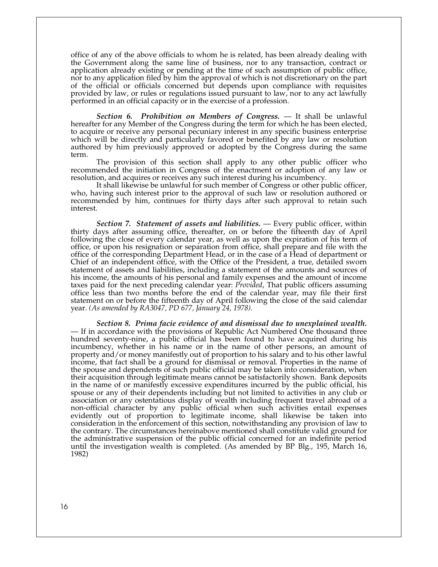office of any of the above officials to whom he is related, has been already dealing with the Government along the same line of business, nor to any transaction, contract or application already existing or pending at the time of such assumption of public office, nor to any application filed by him the approval of which is not discretionary on the part of the official or officials concerned but depends upon compliance with requisites provided by law, or rules or regulations issued pursuant to law, nor to any act lawfully performed in an official capacity or in the exercise of a profession.

 *Section 6. Prohibition on Members of Congress.* — It shall be unlawful hereafter for any Member of the Congress during the term for which he has been elected, to acquire or receive any personal pecuniary interest in any specific business enterprise which will be directly and particularly favored or benefited by any law or resolution authored by him previously approved or adopted by the Congress during the same term.

 The provision of this section shall apply to any other public officer who recommended the initiation in Congress of the enactment or adoption of any law or resolution, and acquires or receives any such interest during his incumbency.

 It shall likewise be unlawful for such member of Congress or other public officer, who, having such interest prior to the approval of such law or resolution authored or recommended by him, continues for thirty days after such approval to retain such interest.

 *Section 7. Statement of assets and liabilities.* — Every public officer, within thirty days after assuming office, thereafter, on or before the fifteenth day of April following the close of every calendar year, as well as upon the expiration of his term of office, or upon his resignation or separation from office, shall prepare and file with the office of the corresponding Department Head, or in the case of a Head of department or Chief of an independent office, with the Office of the President, a true, detailed sworn statement of assets and liabilities, including a statement of the amounts and sources of his income, the amounts of his personal and family expenses and the amount of income taxes paid for the next preceding calendar year: *Provided*, That public officers assuming office less than two months before the end of the calendar year, may file their first statement on or before the fifteenth day of April following the close of the said calendar year. *(As amended by RA3047, PD 677, January 24, 1978).*

 *Section 8. Prima facie evidence of and dismissal due to unexplained wealth.* — If in accordance with the provisions of Republic Act Numbered One thousand three hundred seventy-nine, a public official has been found to have acquired during his incumbency, whether in his name or in the name of other persons, an amount of property and/or money manifestly out of proportion to his salary and to his other lawful income, that fact shall be a ground for dismissal or removal. Properties in the name of the spouse and dependents of such public official may be taken into consideration, when their acquisition through legitimate means cannot be satisfactorily shown. Bank deposits in the name of or manifestly excessive expenditures incurred by the public official, his spouse or any of their dependents including but not limited to activities in any club or association or any ostentatious display of wealth including frequent travel abroad of a non-official character by any public official when such activities entail expenses evidently out of proportion to legitimate income, shall likewise be taken into consideration in the enforcement of this section, notwithstanding any provision of law to the contrary. The circumstances hereinabove mentioned shall constitute valid ground for the administrative suspension of the public official concerned for an indefinite period until the investigation wealth is completed. (As amended by BP Blg., 195, March 16, 1982)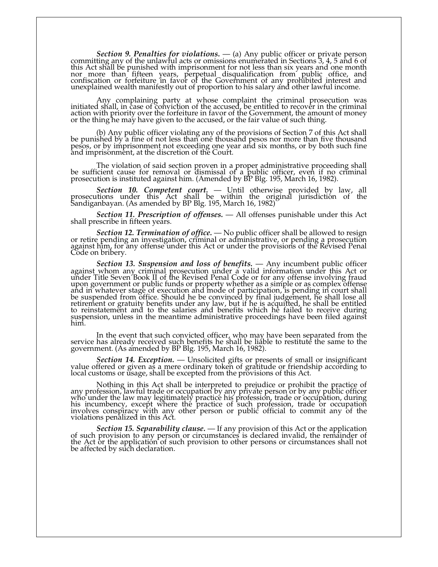*Section 9. Penalties for violations.* — (a) Any public officer or private person committing any of the unlawful acts or omissions enumerated in Sections 3, 4, 5 and 6 of this Act shall be punished with imprisonment for not less than six years and one month nor more than fifteen years, perpetual disqualification from public office, and confiscation or forfeiture in favor of the Government of any prohibited interest and unexplained wealth manifestly out of proportion to his salary and other lawful income.

 Any complaining party at whose complaint the criminal prosecution was initiated shall, in case of conviction of the accused, be entitled to recover in the criminal action with priority over the forfeiture in favor of the Government, the amount of money or the thing he may have given to the accused, or the fair value of such thing.

 (b) Any public officer violating any of the provisions of Section 7 of this Act shall be punished by a fine of not less than one thousand pesos nor more than five thousand pesos, or by imprisonment not exceeding one year and six months, or by both such fine and imprisonment, at the discretion of the Court.

 The violation of said section proven in a proper administrative proceeding shall be sufficient cause for removal or dismissal of a public officer, even if no criminal prosecution is instituted against him. (Amended by BP Blg. 195, March 16, 1982).

 $\mathbf{I}$  *Section 10. Competent court.* — Until otherwise provided by law, all prosecutions under this Act shall be within the original jurisdiction of the Sandiganbayan. (As amended by BP Blg. 195, March 16, 1982)

 *Section 11. Prescription of offenses.* — All offenses punishable under this Act shall prescribe in fifteen years.

 *Section 12. Termination of office.* — No public officer shall be allowed to resign or retire pending an investigation, criminal or administrative, or pending a prosecution against him, for any offense under this Act or under the provisions of the Revised Penal Code on bribery.

 *Section 13. Suspension and loss of benefits.* — Any incumbent public officer against whom any criminal prosecution under a valid information under this Act or under Title Seven Book II of the Revised Penal Code or for any offense involving fraud upon government or public funds or property whether as a simple or as complex offense and in whatever stage of execution and mode of participation, is pending in court shall be suspended from office. Should he be convinced by final judgement, he shall lose all retirement or gratuity benefits under any law, but if he is acquitted, he shall be entitled to reinstatement and to the salaries and benefits which he failed to receive during suspension, unless in the meantime administrative proceedings have been filed against him.

 In the event that such convicted officer, who may have been separated from the service has already received such benefits he shall be liable to restitute the same to the government. (As amended by BP Blg. 195, March 16, 1982).

 *Section 14. Exception.* — Unsolicited gifts or presents of small or insignificant value offered or given as a mere ordinary token of gratitude or friendship according to local customs or usage, shall be excepted from the provisions of this Act.

 Nothing in this Act shall be interpreted to prejudice or prohibit the practice of any profession, lawful trade or occupation by any private person or by any public officer who under the law may legitimately practice his profession, trade or occupation, during his incumbency, except where the practice of such profession, trade or occupation involves conspiracy with any other person or public official to commit any of the violations penalized in this Act.

 *Section 15. Separability clause.* — If any provision of this Act or the application of such provision to any person or circumstances is declared invalid, the remainder of the Act or the application of such provision to other persons or circumstances shall not be affected by such declaration.<br>